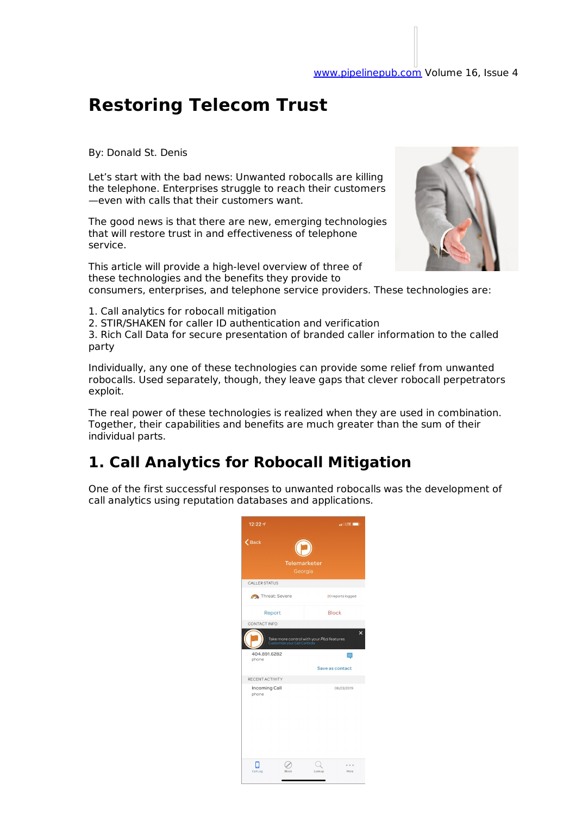# **Restoring Telecom Trust**

By: Donald St. Denis

Let's start with the bad news: Unwanted robocalls are killing the telephone. Enterprises struggle to reach their customers —even with calls that their customers want.

The good news is that there are new, emerging technologies that will restore trust in and effectiveness of telephone service.

This article will provide a high-level overview of three of these technologies and the benefits they provide to

consumers, enterprises, and telephone service providers. These technologies are:

1. Call analytics for robocall mitigation

2. STIR/SHAKEN for caller ID authentication and verification

3. Rich Call Data for secure presentation of branded caller information to the called party

Individually, any one of these technologies can provide some relief from unwanted robocalls. Used separately, though, they leave gaps that clever robocall perpetrators exploit.

The real power of these technologies is realized when they are used in combination. Together, their capabilities and benefits are much greater than the sum of their individual parts.

## **1. Call Analytics for Robocall Mitigation**

One of the first successful responses to unwanted robocalls was the development of call analytics using reputation databases and applications.

| 12:227                 |                                |                                                                                  | $\frac{1}{2}$ and LTE $\frac{1}{2}$ |
|------------------------|--------------------------------|----------------------------------------------------------------------------------|-------------------------------------|
| $\zeta$ Back           | <b>Telemarketer</b><br>Georgia |                                                                                  |                                     |
| CALLER STATUS          |                                |                                                                                  |                                     |
| Threat: Severe         |                                |                                                                                  | 20 reports logged                   |
| Report                 |                                |                                                                                  | Block                               |
| 404.891.6282<br>phone  |                                | Take more control with your <i>Plus</i> features<br>Customize your Call Controls | $\mathsf{x}$<br>Save as contact     |
| RECENT ACTIVITY        |                                |                                                                                  |                                     |
| Incoming Call<br>phone |                                |                                                                                  | 08/23/2019                          |
| Call Log               | Riock                          | Lookup                                                                           | More                                |

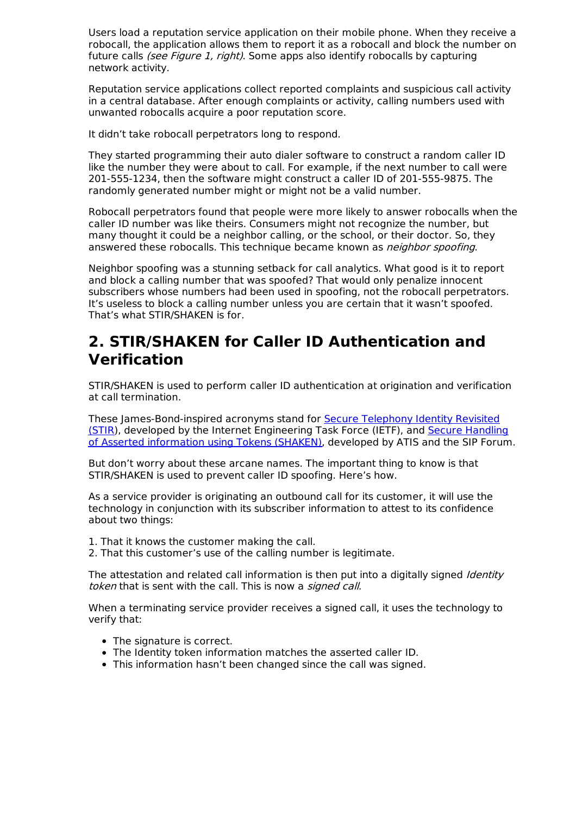Users load a reputation service application on their mobile phone. When they receive a robocall, the application allows them to report it as a robocall and block the number on future calls (see Figure 1, right). Some apps also identify robocalls by capturing network activity.

Reputation service applications collect reported complaints and suspicious call activity in a central database. After enough complaints or activity, calling numbers used with unwanted robocalls acquire a poor reputation score.

It didn't take robocall perpetrators long to respond.

They started programming their auto dialer software to construct a random caller ID like the number they were about to call. For example, if the next number to call were 201-555-1234, then the software might construct a caller ID of 201-555-9875. The randomly generated number might or might not be a valid number.

Robocall perpetrators found that people were more likely to answer robocalls when the caller ID number was like theirs. Consumers might not recognize the number, but many thought it could be a neighbor calling, or the school, or their doctor. So, they answered these robocalls. This technique became known as *neighbor spoofing*.

Neighbor spoofing was a stunning setback for call analytics. What good is it to report and block a calling number that was spoofed? That would only penalize innocent subscribers whose numbers had been used in spoofing, not the robocall perpetrators. It's useless to block a calling number unless you are certain that it wasn't spoofed. That's what STIR/SHAKEN is for.

### **2. STIR/SHAKEN for Caller ID Authentication and Verification**

STIR/SHAKEN is used to perform caller ID authentication at origination and verification at call termination.

These James-Bond-inspired acronyms stand for Secure Telephony Identity Revisited (STIR), developed by the Internet Engineering Task Force (IETF), and Secure Handling of Asserted information using Tokens (SHAKEN), developed by ATIS and the SIP Forum.

But don't worry about these arcane names. The important thing to know is that STIR/SHAKEN is used to prevent caller ID spoofing. Here's how.

As a service provider is originating an outbound call for its customer, it will use the technology in conjunction with its subscriber information to attest to its confidence about two things:

1. That it knows the customer making the call.

2. That this customer's use of the calling number is legitimate.

The attestation and related call information is then put into a digitally signed Identity token that is sent with the call. This is now a *signed call*.

When a terminating service provider receives a signed call, it uses the technology to verify that:

- The signature is correct.
- The Identity token information matches the asserted caller ID.
- This information hasn't been changed since the call was signed.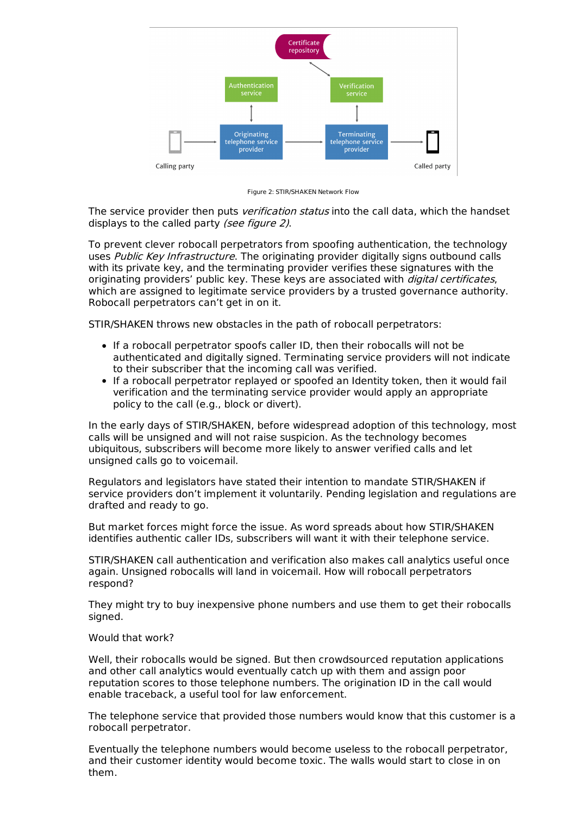

Figure 2: STIR/SHAKEN Network Flow

The service provider then puts *verification status* into the call data, which the handset displays to the called party (see figure 2).

To prevent clever robocall perpetrators from spoofing authentication, the technology uses Public Key Infrastructure. The originating provider digitally signs outbound calls with its private key, and the terminating provider verifies these signatures with the originating providers' public key. These keys are associated with *digital certificates*, which are assigned to legitimate service providers by a trusted governance authority. Robocall perpetrators can't get in on it.

STIR/SHAKEN throws new obstacles in the path of robocall perpetrators:

- If a robocall perpetrator spoofs caller ID, then their robocalls will not be authenticated and digitally signed. Terminating service providers will not indicate to their subscriber that the incoming call was verified.
- If a robocall perpetrator replayed or spoofed an Identity token, then it would fail verification and the terminating service provider would apply an appropriate policy to the call (e.g., block or divert).

In the early days of STIR/SHAKEN, before widespread adoption of this technology, most calls will be unsigned and will not raise suspicion. As the technology becomes ubiquitous, subscribers will become more likely to answer verified calls and let unsigned calls go to voicemail.

Regulators and legislators have stated their intention to mandate STIR/SHAKEN if service providers don't implement it voluntarily. Pending legislation and regulations are drafted and ready to go.

But market forces might force the issue. As word spreads about how STIR/SHAKEN identifies authentic caller IDs, subscribers will want it with their telephone service.

STIR/SHAKEN call authentication and verification also makes call analytics useful once again. Unsigned robocalls will land in voicemail. How will robocall perpetrators respond?

They might try to buy inexpensive phone numbers and use them to get their robocalls signed.

#### Would that work?

Well, their robocalls would be signed. But then crowdsourced reputation applications and other call analytics would eventually catch up with them and assign poor reputation scores to those telephone numbers. The origination ID in the call would enable traceback, a useful tool for law enforcement.

The telephone service that provided those numbers would know that this customer is a robocall perpetrator.

Eventually the telephone numbers would become useless to the robocall perpetrator, and their customer identity would become toxic. The walls would start to close in on them.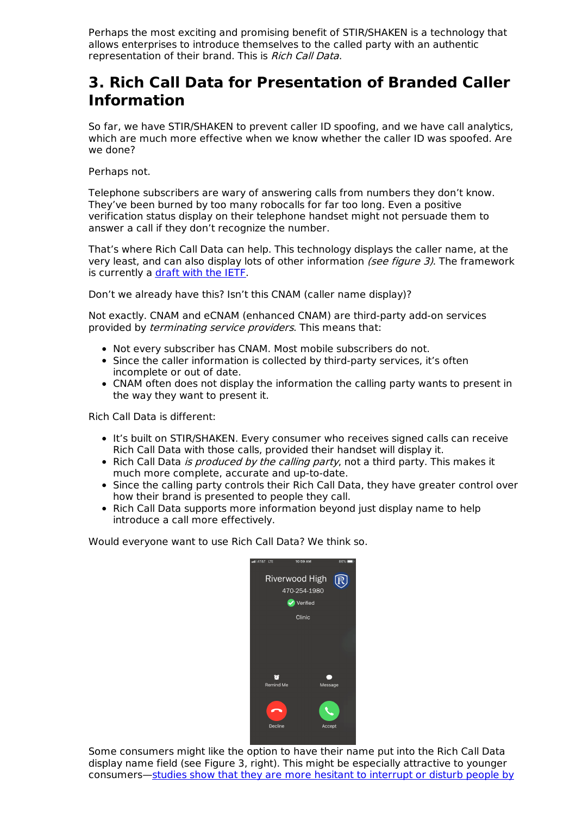Perhaps the most exciting and promising benefit of STIR/SHAKEN is a technology that allows enterprises to introduce themselves to the called party with an authentic representation of their brand. This is Rich Call Data.

### **3. Rich Call Data for Presentation of Branded Caller Information**

So far, we have STIR/SHAKEN to prevent caller ID spoofing, and we have call analytics, which are much more effective when we know whether the caller ID was spoofed. Are we done?

### Perhaps not.

Telephone subscribers are wary of answering calls from numbers they don't know. They've been burned by too many robocalls for far too long. Even a positive verification status display on their telephone handset might not persuade them to answer a call if they don't recognize the number.

That's where Rich Call Data can help. This technology displays the caller name, at the very least, and can also display lots of other information (see figure 3). The framework is currently a draft with the IETF.

Don't we already have this? Isn't this CNAM (caller name display)?

Not exactly. CNAM and eCNAM (enhanced CNAM) are third-party add-on services provided by *terminating service providers*. This means that:

- Not every subscriber has CNAM. Most mobile subscribers do not.
- Since the caller information is collected by third-party services, it's often incomplete or out of date.
- CNAM often does not display the information the calling party wants to present in the way they want to present it.

Rich Call Data is different:

- It's built on STIR/SHAKEN. Every consumer who receives signed calls can receive Rich Call Data with those calls, provided their handset will display it.
- Rich Call Data *is produced by the calling party*, not a third party. This makes it much more complete, accurate and up-to-date.
- Since the calling party controls their Rich Call Data, they have greater control over how their brand is presented to people they call.
- Rich Call Data supports more information beyond just display name to help introduce a call more effectively.

Would everyone want to use Rich Call Data? We think so.



Some consumers might like the option to have their name put into the Rich Call Data display name field (see Figure 3, right). This might be especially attractive to younger consumers—studies show that they are more hesitant to interrupt or disturb people by